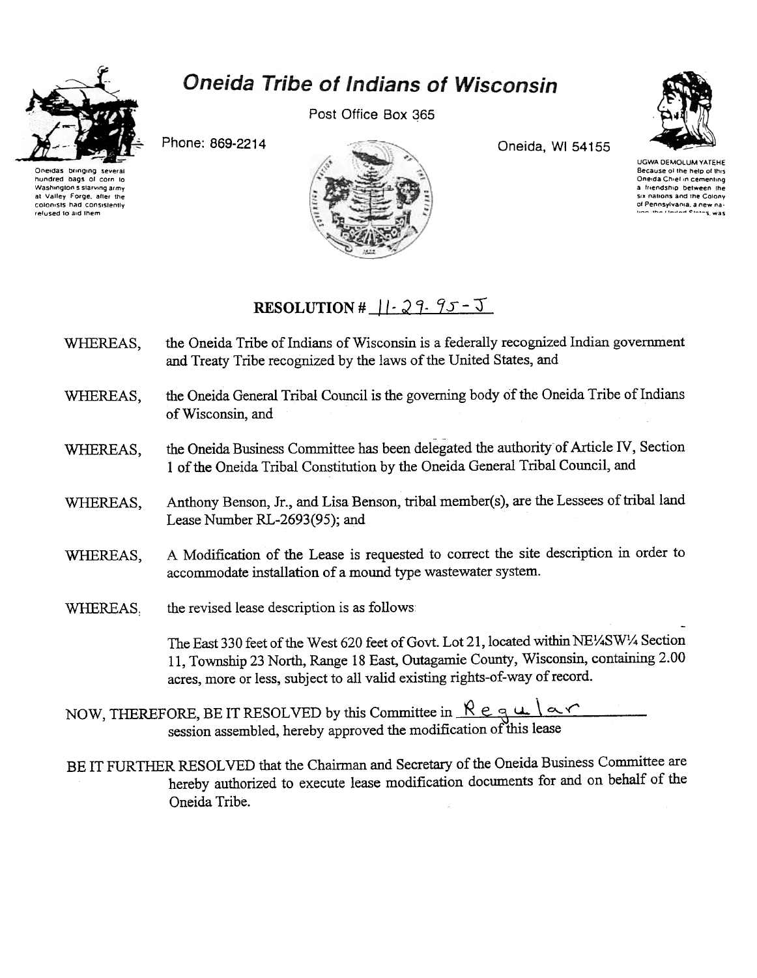

## **Oneida Tribe of Indians of Wisconsin**

Post Office Box 365



Phone: 869-2214



Oneida, WI 54155

UGWA DEMOLUM YATEHE Because of the help of the Oneida Chief in cementing a friendship between the six nations and the Colony of Pennsylvania, a new na

## RESOLUTION #  $||\cdot 29.95 - 5||$

- the Oneida Tribe of Indians of Wisconsin is a federally recognized Indian government WHEREAS, and Treaty Tribe recognized by the laws of the United States, and
- the Oneida General Tribal Council is the governing body of the Oneida Tribe of Indians WHEREAS, of Wisconsin, and
- the Oneida Business Committee has been delegated the authority of Article IV, Section WHEREAS, 1 of the Oneida Tribal Constitution by the Oneida General Tribal Council, and
- Anthony Benson, Jr., and Lisa Benson, tribal member(s), are the Lessees of tribal land WHEREAS. Lease Number RL-2693(95); and
- A Modification of the Lease is requested to correct the site description in order to WHEREAS, accommodate installation of a mound type wastewater system.
- WHEREAS. the revised lease description is as follows:

The East 330 feet of the West 620 feet of Govt. Lot 21, located within NE1/4SW1/4 Section 11, Township 23 North, Range 18 East, Outagamie County, Wisconsin, containing 2.00 acres, more or less, subject to all valid existing rights-of-way of record.

- NOW, THEREFORE, BE IT RESOLVED by this Committee in  $\mathcal{R} \in \mathcal{R} \cup \{\infty\}$ <br>session assembled, hereby approved the modification of this lease
- BE IT FURTHER RESOLVED that the Chairman and Secretary of the Oneida Business Committee are hereby authorized to execute lease modification documents for and on behalf of the Oneida Tribe.